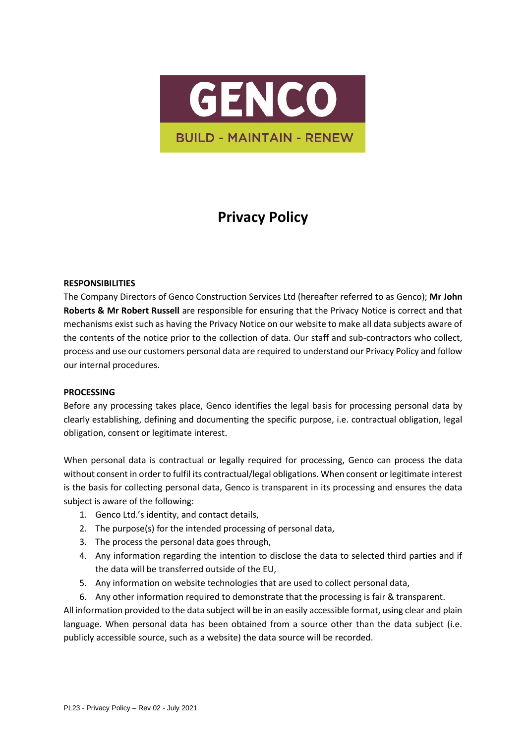

# **Privacy Policy**

#### **RESPONSIBILITIES**

The Company Directors of Genco Construction Services Ltd (hereafter referred to as Genco); **Mr John Roberts & Mr Robert Russell** are responsible for ensuring that the Privacy Notice is correct and that mechanisms exist such as having the Privacy Notice on our website to make all data subjects aware of the contents of the notice prior to the collection of data. Our staff and sub-contractors who collect, process and use our customers personal data are required to understand our Privacy Policy and follow our internal procedures.

#### **PROCESSING**

Before any processing takes place, Genco identifies the legal basis for processing personal data by clearly establishing, defining and documenting the specific purpose, i.e. contractual obligation, legal obligation, consent or legitimate interest.

When personal data is contractual or legally required for processing, Genco can process the data without consent in order to fulfil its contractual/legal obligations. When consent or legitimate interest is the basis for collecting personal data, Genco is transparent in its processing and ensures the data subject is aware of the following:

- 1. Genco Ltd.'s identity, and contact details,
- 2. The purpose(s) for the intended processing of personal data,
- 3. The process the personal data goes through,
- 4. Any information regarding the intention to disclose the data to selected third parties and if the data will be transferred outside of the EU,
- 5. Any information on website technologies that are used to collect personal data,
- 6. Any other information required to demonstrate that the processing is fair & transparent.

All information provided to the data subject will be in an easily accessible format, using clear and plain language. When personal data has been obtained from a source other than the data subject (i.e. publicly accessible source, such as a website) the data source will be recorded.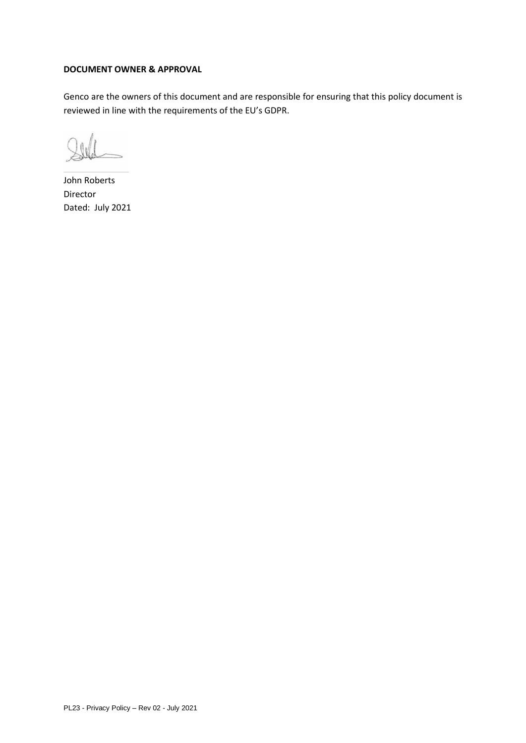#### **DOCUMENT OWNER & APPROVAL**

Genco are the owners of this document and are responsible for ensuring that this policy document is reviewed in line with the requirements of the EU's GDPR.

John Roberts Director Dated: July 2021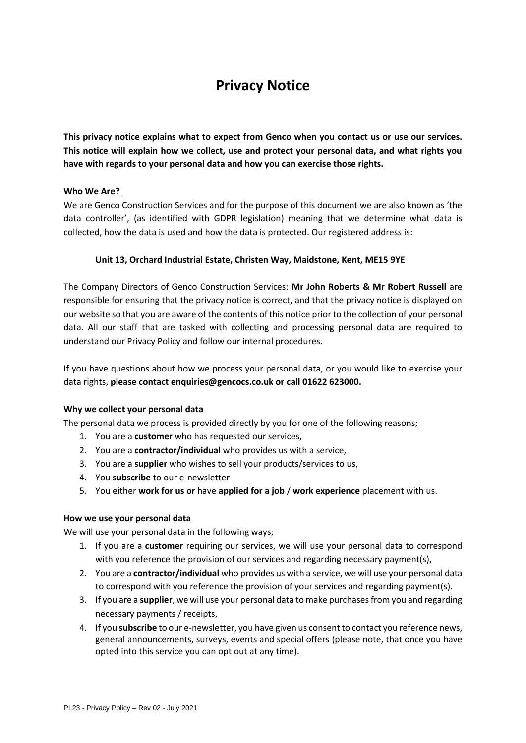## **Privacy Notice**

**This privacy notice explains what to expect from Genco when you contact us or use our services. This notice will explain how we collect, use and protect your personal data, and what rights you have with regards to your personal data and how you can exercise those rights.** 

## **Who We Are?**

We are Genco Construction Services and for the purpose of this document we are also known as 'the data controller', (as identified with GDPR legislation) meaning that we determine what data is collected, how the data is used and how the data is protected. Our registered address is:

## **Unit 13, Orchard Industrial Estate, Christen Way, Maidstone, Kent, ME15 9YE**

The Company Directors of Genco Construction Services: **Mr John Roberts & Mr Robert Russell** are responsible for ensuring that the privacy notice is correct, and that the privacy notice is displayed on our website so that you are aware of the contents of this notice prior to the collection of your personal data. All our staff that are tasked with collecting and processing personal data are required to understand our Privacy Policy and follow our internal procedures.

If you have questions about how we process your personal data, or you would like to exercise your data rights, **please contact enquiries@gencocs.co.uk or call 01622 623000.**

#### **Why we collect your personal data**

The personal data we process is provided directly by you for one of the following reasons;

- 1. You are a **customer** who has requested our services,
- 2. You are a **contractor/individual** who provides us with a service,
- 3. You are a **supplier** who wishes to sell your products/services to us,
- 4. You **subscribe** to our e-newsletter
- 5. You either **work for us or** have **applied for a job** / **work experience** placement with us.

#### **How we use your personal data**

We will use your personal data in the following ways;

- 1. If you are a **customer** requiring our services, we will use your personal data to correspond with you reference the provision of our services and regarding necessary payment(s),
- 2. You are a **contractor/individual** who provides us with a service, we will use your personal data to correspond with you reference the provision of your services and regarding payment(s).
- 3. If you are a **supplier**, we will use your personal data to make purchases from you and regarding necessary payments / receipts,
- 4. If you **subscribe** to our e-newsletter, you have given us consent to contact you reference news, general announcements, surveys, events and special offers (please note, that once you have opted into this service you can opt out at any time).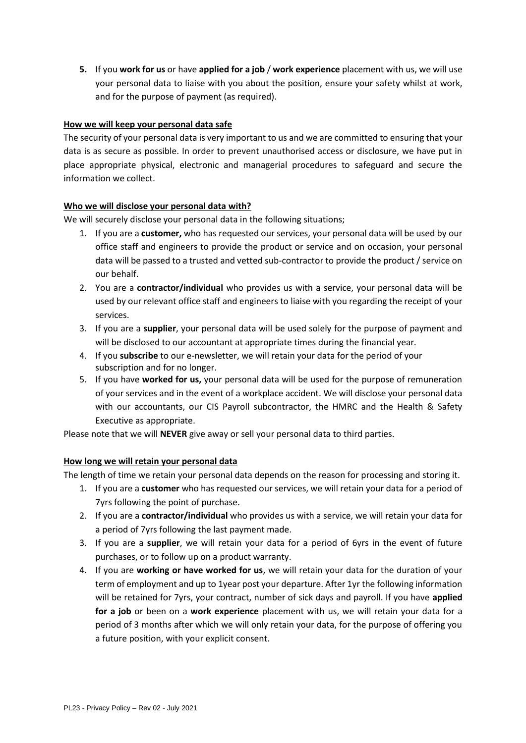**5.** If you **work for us** or have **applied for a job** / **work experience** placement with us, we will use your personal data to liaise with you about the position, ensure your safety whilst at work, and for the purpose of payment (as required).

## **How we will keep your personal data safe**

The security of your personal data is very important to us and we are committed to ensuring that your data is as secure as possible. In order to prevent unauthorised access or disclosure, we have put in place appropriate physical, electronic and managerial procedures to safeguard and secure the information we collect.

## **Who we will disclose your personal data with?**

We will securely disclose your personal data in the following situations;

- 1. If you are a **customer,** who has requested our services, your personal data will be used by our office staff and engineers to provide the product or service and on occasion, your personal data will be passed to a trusted and vetted sub-contractor to provide the product / service on our behalf.
- 2. You are a **contractor/individual** who provides us with a service, your personal data will be used by our relevant office staff and engineers to liaise with you regarding the receipt of your services.
- 3. If you are a **supplier**, your personal data will be used solely for the purpose of payment and will be disclosed to our accountant at appropriate times during the financial year.
- 4. If you **subscribe** to our e-newsletter, we will retain your data for the period of your subscription and for no longer.
- 5. If you have **worked for us,** your personal data will be used for the purpose of remuneration of your services and in the event of a workplace accident. We will disclose your personal data with our accountants, our CIS Payroll subcontractor, the HMRC and the Health & Safety Executive as appropriate.

Please note that we will **NEVER** give away or sell your personal data to third parties.

#### **How long we will retain your personal data**

The length of time we retain your personal data depends on the reason for processing and storing it.

- 1. If you are a **customer** who has requested our services, we will retain your data for a period of 7yrs following the point of purchase.
- 2. If you are a **contractor/individual** who provides us with a service, we will retain your data for a period of 7yrs following the last payment made.
- 3. If you are a **supplier**, we will retain your data for a period of 6yrs in the event of future purchases, or to follow up on a product warranty.
- 4. If you are **working or have worked for us**, we will retain your data for the duration of your term of employment and up to 1year post your departure. After 1yr the following information will be retained for 7yrs, your contract, number of sick days and payroll. If you have **applied for a job** or been on a **work experience** placement with us, we will retain your data for a period of 3 months after which we will only retain your data, for the purpose of offering you a future position, with your explicit consent.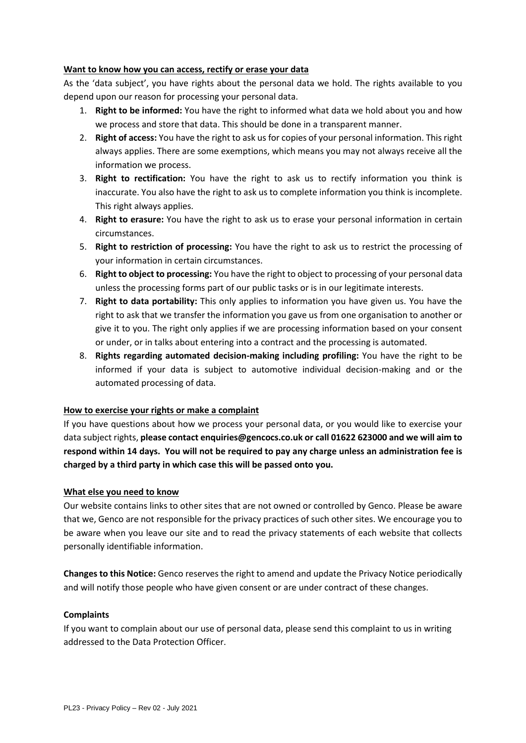## **Want to know how you can access, rectify or erase your data**

As the 'data subject', you have rights about the personal data we hold. The rights available to you depend upon our reason for processing your personal data.

- 1. **Right to be informed:** You have the right to informed what data we hold about you and how we process and store that data. This should be done in a transparent manner.
- 2. **Right of access:** You have the right to ask us for copies of your personal information. This right always applies. There are some exemptions, which means you may not always receive all the information we process.
- 3. **Right to rectification:** You have the right to ask us to rectify information you think is inaccurate. You also have the right to ask us to complete information you think is incomplete. This right always applies.
- 4. **Right to erasure:** You have the right to ask us to erase your personal information in certain circumstances.
- 5. **Right to restriction of processing:** You have the right to ask us to restrict the processing of your information in certain circumstances.
- 6. **Right to object to processing:** You have the right to object to processing of your personal data unless the processing forms part of our public tasks or is in our legitimate interests.
- 7. **Right to data portability:** This only applies to information you have given us. You have the right to ask that we transfer the information you gave us from one organisation to another or give it to you. The right only applies if we are processing information based on your consent or under, or in talks about entering into a contract and the processing is automated.
- 8. **Rights regarding automated decision-making including profiling:** You have the right to be informed if your data is subject to automotive individual decision-making and or the automated processing of data.

#### **How to exercise your rights or make a complaint**

If you have questions about how we process your personal data, or you would like to exercise your data subject rights, **please contact enquiries@gencocs.co.uk or call 01622 623000 and we will aim to respond within 14 days. You will not be required to pay any charge unless an administration fee is charged by a third party in which case this will be passed onto you.** 

#### **What else you need to know**

Our website contains links to other sites that are not owned or controlled by Genco. Please be aware that we, Genco are not responsible for the privacy practices of such other sites. We encourage you to be aware when you leave our site and to read the privacy statements of each website that collects personally identifiable information.

**Changes to this Notice:** Genco reserves the right to amend and update the Privacy Notice periodically and will notify those people who have given consent or are under contract of these changes.

#### **Complaints**

If you want to complain about our use of personal data, please send this complaint to us in writing addressed to the Data Protection Officer.